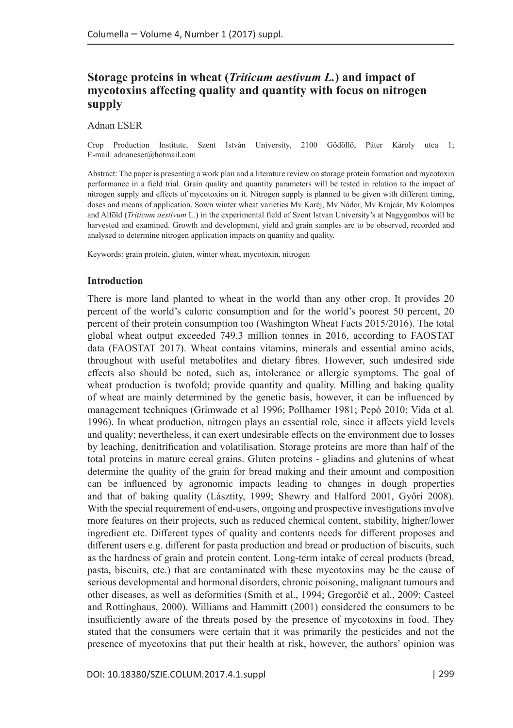# **Storage proteins in wheat (***Triticum aestivum L.***) and impact of mycotoxins affecting quality and quantity with focus on nitrogen supply**

Adnan ESER

Crop Production Institute, Szent István University, 2100 Gödöllő, Páter Károly utca 1; E-mail: [adnaneser@hotmail.com](mailto:adnaneser@hotmail.com)

Abstract: The paper is presenting a work plan and a literature review on storage protein formation and mycotoxin performance in a field trial. Grain quality and quantity parameters will be tested in relation to the impact of nitrogen supply and effects of mycotoxins on it. Nitrogen supply is planned to be given with different timing, doses and means of application. Sown winter wheat varieties Mv Karéj, Mv Nádor, Mv Krajcár, Mv Kolompos and Alföld (*Triticum aestivum* L*.*) in the experimental field of Szent Istvan University's at Nagygombos will be harvested and examined. Growth and development, yield and grain samples are to be observed, recorded and analysed to determine nitrogen application impacts on quantity and quality.

Keywords: grain protein, gluten, winter wheat, mycotoxin, nitrogen

#### **Introduction**

There is more land planted to wheat in the world than any other crop. It provides 20 percent of the world's caloric consumption and for the world's poorest 50 percent, 20 percent of their protein consumption too (Washington Wheat Facts 2015/2016). The total global wheat output exceeded 749.3 million tonnes in 2016, according to FAOSTAT data (FAOSTAT 2017). Wheat contains vitamins, minerals and essential amino acids, throughout with useful metabolites and dietary fibres. However, such undesired side effects also should be noted, such as, intolerance or allergic symptoms. The goal of wheat production is twofold; provide quantity and quality. Milling and baking quality of wheat are mainly determined by the genetic basis, however, it can be influenced by management techniques (Grimwade et al 1996; Pollhamer 1981; Pepó 2010; Vida et al. 1996). In wheat production, nitrogen plays an essential role, since it affects yield levels and quality; nevertheless, it can exert undesirable effects on the environment due to losses by leaching, denitrification and volatilisation. Storage proteins are more than half of the total proteins in mature cereal grains. Gluten proteins - gliadins and glutenins of wheat determine the quality of the grain for bread making and their amount and composition can be influenced by agronomic impacts leading to changes in dough properties and that of baking quality (Lásztity, 1999; Shewry and Halford 2001, Győri 2008). With the special requirement of end-users, ongoing and prospective investigations involve more features on their projects, such as reduced chemical content, stability, higher/lower ingredient etc. Different types of quality and contents needs for different proposes and different users e.g. different for pasta production and bread or production of biscuits, such as the hardness of grain and protein content. Long-term intake of cereal products (bread, pasta, biscuits, etc.) that are contaminated with these mycotoxins may be the cause of serious developmental and hormonal disorders, chronic poisoning, malignant tumours and other diseases, as well as deformities (Smith et al., 1994; Gregorčič et al., 2009; Casteel and Rottinghaus, 2000). Williams and Hammitt (2001) considered the consumers to be insufficiently aware of the threats posed by the presence of mycotoxins in food. They stated that the consumers were certain that it was primarily the pesticides and not the presence of mycotoxins that put their health at risk, however, the authors' opinion was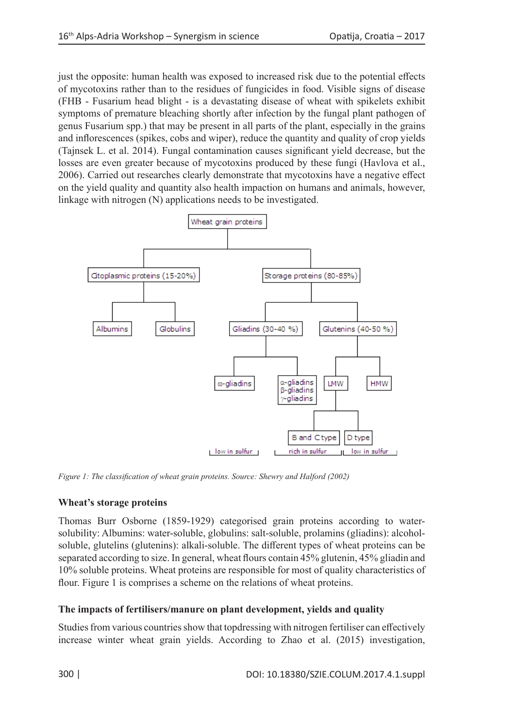just the opposite: human health was exposed to increased risk due to the potential effects of mycotoxins rather than to the residues of fungicides in food. Visible signs of disease (FHB - Fusarium head blight - is a devastating disease of wheat with spikelets exhibit symptoms of premature bleaching shortly after infection by the fungal plant pathogen of genus Fusarium spp.) that may be present in all parts of the plant, especially in the grains and inflorescences (spikes, cobs and wiper), reduce the quantity and quality of crop yields (Tajnsek L. et al. 2014). Fungal contamination causes significant yield decrease, but the losses are even greater because of mycotoxins produced by these fungi (Havlova et al., 2006). Carried out researches clearly demonstrate that mycotoxins have a negative effect on the yield quality and quantity also health impaction on humans and animals, however, linkage with nitrogen (N) applications needs to be investigated.



*Figure 1: The classification of wheat grain proteins. Source: Shewry and Halford (2002)*

## **Wheat's storage proteins**

Thomas Burr Osborne (1859-1929) categorised grain proteins according to watersolubility: Albumins: water-soluble, globulins: salt-soluble, prolamins (gliadins): alcoholsoluble, glutelins (glutenins): alkali-soluble. The different types of wheat proteins can be separated according to size. In general, wheat flours contain 45% glutenin, 45% gliadin and 10% soluble proteins. Wheat proteins are responsible for most of quality characteristics of flour. Figure 1 is comprises a scheme on the relations of wheat proteins.

## **The impacts of fertilisers/manure on plant development, yields and quality**

Studies from various countries show that topdressing with nitrogen fertiliser can effectively increase winter wheat grain yields. According to Zhao et al. (2015) investigation,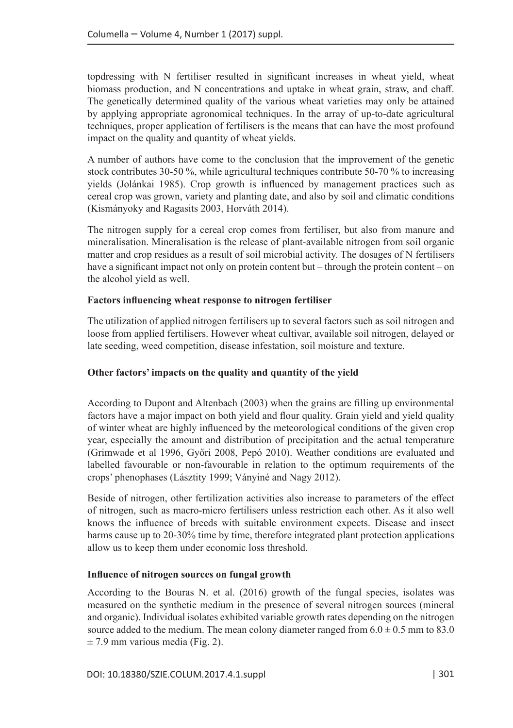topdressing with N fertiliser resulted in significant increases in wheat yield, wheat biomass production, and N concentrations and uptake in wheat grain, straw, and chaff. The genetically determined quality of the various wheat varieties may only be attained by applying appropriate agronomical techniques. In the array of up-to-date agricultural techniques, proper application of fertilisers is the means that can have the most profound impact on the quality and quantity of wheat yields.

A number of authors have come to the conclusion that the improvement of the genetic stock contributes 30-50 %, while agricultural techniques contribute 50-70 % to increasing yields (Jolánkai 1985). Crop growth is influenced by management practices such as cereal crop was grown, variety and planting date, and also by soil and climatic conditions (Kismányoky and Ragasits 2003, Horváth 2014).

The nitrogen supply for a cereal crop comes from fertiliser, but also from manure and mineralisation. Mineralisation is the release of plant-available nitrogen from soil organic matter and crop residues as a result of soil microbial activity. The dosages of N fertilisers have a significant impact not only on protein content but – through the protein content – on the alcohol yield as well.

### **Factors influencing wheat response to nitrogen fertiliser**

The utilization of applied nitrogen fertilisers up to several factors such as soil nitrogen and loose from applied fertilisers. However wheat cultivar, available soil nitrogen, delayed or late seeding, weed competition, disease infestation, soil moisture and texture.

## **Other factors' impacts on the quality and quantity of the yield**

According to Dupont and Altenbach (2003) when the grains are filling up environmental factors have a major impact on both yield and flour quality. Grain yield and yield quality of winter wheat are highly influenced by the meteorological conditions of the given crop year, especially the amount and distribution of precipitation and the actual temperature (Grimwade et al 1996, Győri 2008, Pepó 2010). Weather conditions are evaluated and labelled favourable or non-favourable in relation to the optimum requirements of the crops' phenophases (Lásztity 1999; Ványiné and Nagy 2012).

Beside of nitrogen, other fertilization activities also increase to parameters of the effect of nitrogen, such as macro-micro fertilisers unless restriction each other. As it also well knows the influence of breeds with suitable environment expects. Disease and insect harms cause up to 20-30% time by time, therefore integrated plant protection applications allow us to keep them under economic loss threshold.

#### **Influence of nitrogen sources on fungal growth**

According to the Bouras N. et al. (2016) growth of the fungal species, isolates was measured on the synthetic medium in the presence of several nitrogen sources (mineral and organic). Individual isolates exhibited variable growth rates depending on the nitrogen source added to the medium. The mean colony diameter ranged from  $6.0 \pm 0.5$  mm to 83.0  $\pm$  7.9 mm various media (Fig. 2).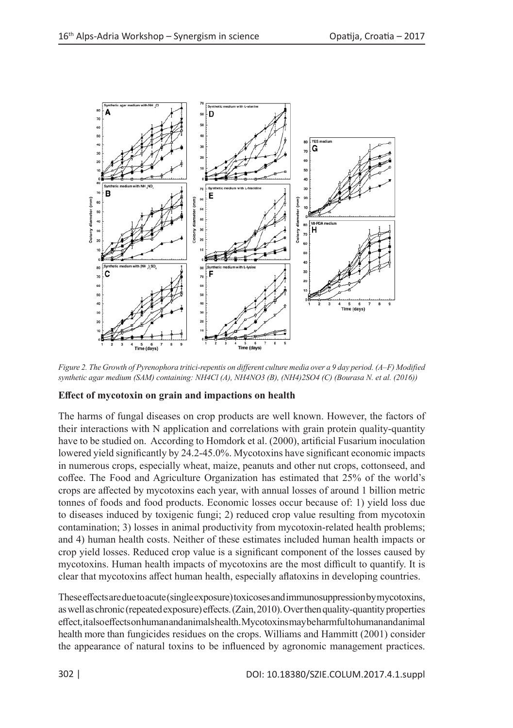

*Figure 2. The Growth of Pyrenophora tritici-repentis on different culture media over a 9 day period. (A–F) Modified synthetic agar medium (SAM) containing: NH4Cl (A), NH4NO3 (B), (NH4)2SO4 (C) (Bourasa N. et al. (2016))*

## **Effect of mycotoxin on grain and impactions on health**

The harms of fungal diseases on crop products are well known. However, the factors of their interactions with N application and correlations with grain protein quality-quantity have to be studied on. According to Homdork et al. (2000), artificial Fusarium inoculation lowered yield significantly by 24.2-45.0%. Mycotoxins have significant economic impacts in numerous crops, especially wheat, maize, peanuts and other nut crops, cottonseed, and coffee. The Food and Agriculture Organization has estimated that 25% of the world's crops are affected by mycotoxins each year, with annual losses of around 1 billion metric tonnes of foods and food products. Economic losses occur because of: 1) yield loss due to diseases induced by toxigenic fungi; 2) reduced crop value resulting from mycotoxin contamination; 3) losses in animal productivity from mycotoxin-related health problems; and 4) human health costs. Neither of these estimates included human health impacts or crop yield losses. Reduced crop value is a significant component of the losses caused by mycotoxins. Human health impacts of mycotoxins are the most difficult to quantify. It is clear that mycotoxins affect human health, especially aflatoxins in developing countries.

These effects are due to acute (single exposure) toxicoses and immunosuppression by mycotoxins, as well as chronic (repeated exposure) effects. (Zain, 2010). Over then quality-quantity properties effect, it also effects on human and animals health. Mycotoxins may be harmful to human and animal health more than fungicides residues on the crops. Williams and Hammitt (2001) consider the appearance of natural toxins to be influenced by agronomic management practices.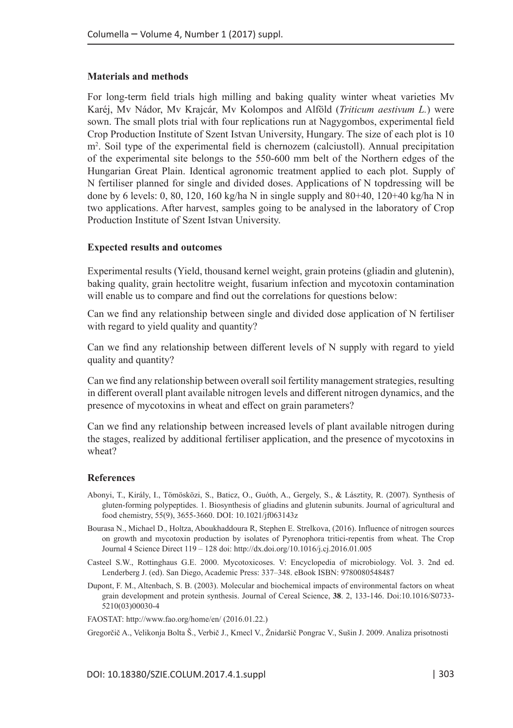#### **Materials and methods**

For long-term field trials high milling and baking quality winter wheat varieties Mv Karéj, Mv Nádor, Mv Krajcár, Mv Kolompos and Alföld (*Triticum aestivum L.*) were sown. The small plots trial with four replications run at Nagygombos, experimental field Crop Production Institute of Szent Istvan University, Hungary. The size of each plot is 10 m2 . Soil type of the experimental field is chernozem (calciustoll). Annual precipitation of the experimental site belongs to the 550-600 mm belt of the Northern edges of the Hungarian Great Plain. Identical agronomic treatment applied to each plot. Supply of N fertiliser planned for single and divided doses. Applications of N topdressing will be done by 6 levels: 0, 80, 120, 160 kg/ha N in single supply and  $80+40$ ,  $120+40$  kg/ha N in two applications. After harvest, samples going to be analysed in the laboratory of Crop Production Institute of Szent Istvan University.

#### **Expected results and outcomes**

Experimental results (Yield, thousand kernel weight, grain proteins (gliadin and glutenin), baking quality, grain hectolitre weight, fusarium infection and mycotoxin contamination will enable us to compare and find out the correlations for questions below:

Can we find any relationship between single and divided dose application of N fertiliser with regard to yield quality and quantity?

Can we find any relationship between different levels of N supply with regard to yield quality and quantity?

Can we find any relationship between overall soil fertility management strategies, resulting in different overall plant available nitrogen levels and different nitrogen dynamics, and the presence of mycotoxins in wheat and effect on grain parameters?

Can we find any relationship between increased levels of plant available nitrogen during the stages, realized by additional fertiliser application, and the presence of mycotoxins in wheat?

#### **References**

- Abonyi, T., Király, I., Tömösközi, S., Baticz, O., Guóth, A., Gergely, S., & Lásztity, R. (2007). Synthesis of gluten-forming polypeptides. 1. Biosynthesis of gliadins and glutenin subunits. Journal of agricultural and food chemistry, 55(9), 3655-3660. DOI: 10.1021/jf063143z
- Bourasa N., Michael D., Holtza, Aboukhaddoura R, Stephen E. Strelkova, (2016). Influence of nitrogen sources on growth and mycotoxin production by isolates of Pyrenophora tritici-repentis from wheat. The Crop Journal 4 Science Direct 119 – 128 doi: http://dx.doi.org/10.1016/j.cj.2016.01.005
- Casteel S.W., Rottinghaus G.E. 2000. Mycotoxicoses. V: Encyclopedia of microbiology. Vol. 3. 2nd ed. Lenderberg J. (ed). San Diego, Academic Press: 337–348. eBook ISBN: 9780080548487
- Dupont, F. M., Altenbach, S. B. (2003). Molecular and biochemical impacts of environmental factors on wheat grain development and protein synthesis. Journal of Cereal Science, **38**. 2, 133-146. Doi:10.1016/S0733- 5210(03)00030-4

FAOSTAT: <http://www.fao.org/home/en/> (2016.01.22.)

Gregorčič A., Velikonja Bolta Š., Verbič J., Kmecl V., Žnidaršič Pongrac V., Sušin J. 2009. Analiza prisotnosti